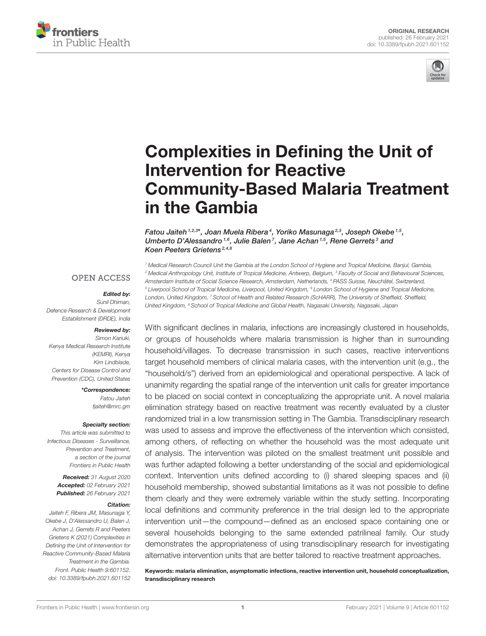



# Complexities in Defining the Unit of Intervention for Reactive [Community-Based Malaria Treatment](https://www.frontiersin.org/articles/10.3389/fpubh.2021.601152/full) in the Gambia

Fatou Jaiteh 1,2,3\*, Joan Muela Ribera<sup>4</sup>, Yoriko Masunaga<sup>2,3</sup>, Joseph Okebe <sup>1,5</sup>, Umberto D'Alessandro<sup>1,6</sup>, Julie Balen<sup>7</sup>, Jane Achan<sup>1,5</sup>, Rene Gerrets<sup>3</sup> and Koen Peeters Grietens 2,4,8

#### **OPEN ACCESS**

#### Edited by:

Sunil Dhiman, Defence Research & Development Establishment (DRDE), India

#### Reviewed by:

Simon Kariuki, Kenya Medical Research Institute (KEMRI), Kenya Kim Lindblade, Centers for Disease Control and Prevention (CDC), United States

> \*Correspondence: Fatou Jaiteh [fjaiteh@mrc.gm](mailto:fjaiteh@mrc.gm)

#### Specialty section:

This article was submitted to Infectious Diseases - Surveillance, Prevention and Treatment, a section of the journal Frontiers in Public Health

Received: 31 August 2020 Accepted: 02 February 2021 Published: 26 February 2021

#### Citation:

Jaiteh F, Ribera JM, Masunaga Y, Okebe J, D'Alessandro U, Balen J, Achan J, Gerrets R and Peeters Grietens K (2021) Complexities in Defining the Unit of Intervention for Reactive Community-Based Malaria Treatment in the Gambia. Front. Public Health 9:601152. doi: [10.3389/fpubh.2021.601152](https://doi.org/10.3389/fpubh.2021.601152)

<sup>1</sup> Medical Research Council Unit the Gambia at the London School of Hygiene and Tropical Medicine, Banjul, Gambia, <sup>2</sup> Medical Anthropology Unit, Institute of Tropical Medicine, Antwerp, Belgium, <sup>3</sup> Faculty of Social and Behavioural Sciences, Amsterdam Institute of Social Science Research, Amsterdam, Netherlands, <sup>4</sup> PASS Suisse, Neuchâtel, Switzerland, <sup>5</sup> Liverpool School of Tropical Medicine, Liverpool, United Kingdom, <sup>6</sup> London School of Hygiene and Tropical Medicine, London, United Kingdom, <sup>7</sup> School of Health and Related Research (ScHARR), The University of Sheffield, Sheffield, United Kingdom, <sup>8</sup> School of Tropical Medicine and Global Health, Nagasaki University, Nagasaki, Japan

With significant declines in malaria, infections are increasingly clustered in households, or groups of households where malaria transmission is higher than in surrounding household/villages. To decrease transmission in such cases, reactive interventions target household members of clinical malaria cases, with the intervention unit (e.g., the "household/s") derived from an epidemiological and operational perspective. A lack of unanimity regarding the spatial range of the intervention unit calls for greater importance to be placed on social context in conceptualizing the appropriate unit. A novel malaria elimination strategy based on reactive treatment was recently evaluated by a cluster randomized trial in a low transmission setting in The Gambia. Transdisciplinary research was used to assess and improve the effectiveness of the intervention which consisted, among others, of reflecting on whether the household was the most adequate unit of analysis. The intervention was piloted on the smallest treatment unit possible and was further adapted following a better understanding of the social and epidemiological context. Intervention units defined according to (i) shared sleeping spaces and (ii) household membership, showed substantial limitations as it was not possible to define them clearly and they were extremely variable within the study setting. Incorporating local definitions and community preference in the trial design led to the appropriate intervention unit—the compound—defined as an enclosed space containing one or several households belonging to the same extended patrilineal family. Our study demonstrates the appropriateness of using transdisciplinary research for investigating alternative intervention units that are better tailored to reactive treatment approaches.

Keywords: malaria elimination, asymptomatic infections, reactive intervention unit, household conceptualization, transdisciplinary research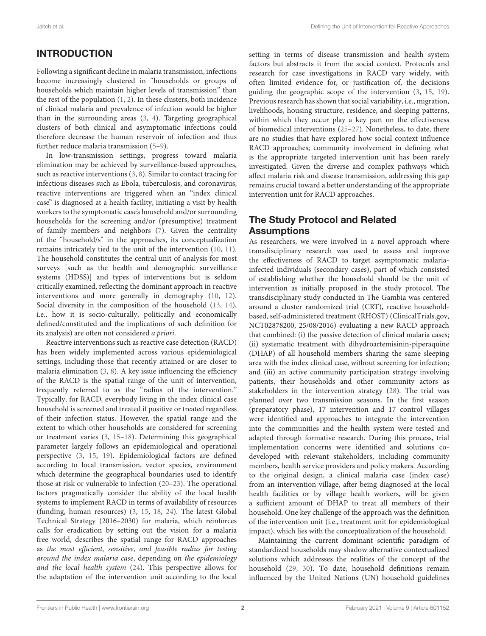# INTRODUCTION

Following a significant decline in malaria transmission, infections become increasingly clustered in "households or groups of households which maintain higher levels of transmission" than the rest of the population [\(1,](#page-6-0) [2\)](#page-6-1). In these clusters, both incidence of clinical malaria and prevalence of infection would be higher than in the surrounding areas [\(3,](#page-6-2) [4\)](#page-6-3). Targeting geographical clusters of both clinical and asymptomatic infections could therefore decrease the human reservoir of infection and thus further reduce malaria transmission [\(5](#page-6-4)[–9\)](#page-6-5).

In low-transmission settings, progress toward malaria elimination may be achieved by surveillance-based approaches, such as reactive interventions [\(3,](#page-6-2) [8\)](#page-6-6). Similar to contact tracing for infectious diseases such as Ebola, tuberculosis, and coronavirus, reactive interventions are triggered when an "index clinical case" is diagnosed at a health facility, initiating a visit by health workers to the symptomatic case's household and/or surrounding households for the screening and/or (presumptive) treatment of family members and neighbors [\(7\)](#page-6-7). Given the centrality of the "household/s" in the approaches, its conceptualization remains intricately tied to the unit of the intervention [\(10,](#page-6-8) [11\)](#page-6-9). The household constitutes the central unit of analysis for most surveys [such as the health and demographic surveillance systems (HDSS)] and types of interventions but is seldom critically examined, reflecting the dominant approach in reactive interventions and more generally in demography [\(10,](#page-6-8) [12\)](#page-6-10). Social diversity in the composition of the household [\(13,](#page-6-11) [14\)](#page-6-12), i.e., how it is socio-culturally, politically and economically defined/constituted and the implications of such definition for its analysis) are often not considered a priori.

Reactive interventions such as reactive case detection (RACD) has been widely implemented across various epidemiological settings, including those that recently attained or are closer to malaria elimination [\(3,](#page-6-2) [8\)](#page-6-6). A key issue influencing the efficiency of the RACD is the spatial range of the unit of intervention, frequently referred to as the "radius of the intervention." Typically, for RACD, everybody living in the index clinical case household is screened and treated if positive or treated regardless of their infection status. However, the spatial range and the extent to which other households are considered for screening or treatment varies [\(3,](#page-6-2) [15](#page-6-13)[–18\)](#page-7-0). Determining this geographical parameter largely follows an epidemiological and operational perspective [\(3,](#page-6-2) [15,](#page-6-13) [19\)](#page-7-1). Epidemiological factors are defined according to local transmission, vector species, environment which determine the geographical boundaries used to identify those at risk or vulnerable to infection [\(20](#page-7-2)[–23\)](#page-7-3). The operational factors pragmatically consider the ability of the local health systems to implement RACD in terms of availability of resources (funding, human resources) [\(3,](#page-6-2) [15,](#page-6-13) [18,](#page-7-0) [24\)](#page-7-4). The latest Global Technical Strategy (2016–2030) for malaria, which reinforces calls for eradication by setting out the vision for a malaria free world, describes the spatial range for RACD approaches as the most efficient, sensitive, and feasible radius for testing around the index malaria case, depending on the epidemiology and the local health system [\(24\)](#page-7-4). This perspective allows for the adaptation of the intervention unit according to the local setting in terms of disease transmission and health system factors but abstracts it from the social context. Protocols and research for case investigations in RACD vary widely, with often limited evidence for, or justification of, the decisions guiding the geographic scope of the intervention [\(3,](#page-6-2) [15,](#page-6-13) [19\)](#page-7-1). Previous research has shown that social variability, i.e., migration, livelihoods, housing structure, residence, and sleeping patterns, within which they occur play a key part on the effectiveness of biomedical interventions [\(25](#page-7-5)[–27\)](#page-7-6). Nonetheless, to date, there are no studies that have explored how social context influence RACD approaches; community involvement in defining what is the appropriate targeted intervention unit has been rarely investigated. Given the diverse and complex pathways which affect malaria risk and disease transmission, addressing this gap remains crucial toward a better understanding of the appropriate intervention unit for RACD approaches.

# The Study Protocol and Related **Assumptions**

As researchers, we were involved in a novel approach where transdisciplinary research was used to assess and improve the effectiveness of RACD to target asymptomatic malariainfected individuals (secondary cases), part of which consisted of establishing whether the household should be the unit of intervention as initially proposed in the study protocol. The transdisciplinary study conducted in The Gambia was centered around a cluster randomized trial (CRT), reactive householdbased, self-administered treatment (RHOST) [\(ClinicalTrials.gov,](https://ClinicalTrials.gov) NCT02878200, 25/08/2016) evaluating a new RACD approach that combined: (i) the passive detection of clinical malaria cases; (ii) systematic treatment with dihydroartemisinin-piperaquine (DHAP) of all household members sharing the same sleeping area with the index clinical case, without screening for infection; and (iii) an active community participation strategy involving patients, their households and other community actors as stakeholders in the intervention strategy [\(28\)](#page-7-7). The trial was planned over two transmission seasons. In the first season (preparatory phase), 17 intervention and 17 control villages were identified and approaches to integrate the intervention into the communities and the health system were tested and adapted through formative research. During this process, trial implementation concerns were identified and solutions codeveloped with relevant stakeholders, including community members, health service providers and policy makers. According to the original design, a clinical malaria case (index case) from an intervention village, after being diagnosed at the local health facilities or by village health workers, will be given a sufficient amount of DHAP to treat all members of their household. One key challenge of the approach was the definition of the intervention unit (i.e., treatment unit for epidemiological impact), which lies with the conceptualization of the household.

Maintaining the current dominant scientific paradigm of standardized households may shadow alternative contextualized solutions which addresses the realities of the concept of the household [\(29,](#page-7-8) [30\)](#page-7-9). To date, household definitions remain influenced by the United Nations (UN) household guidelines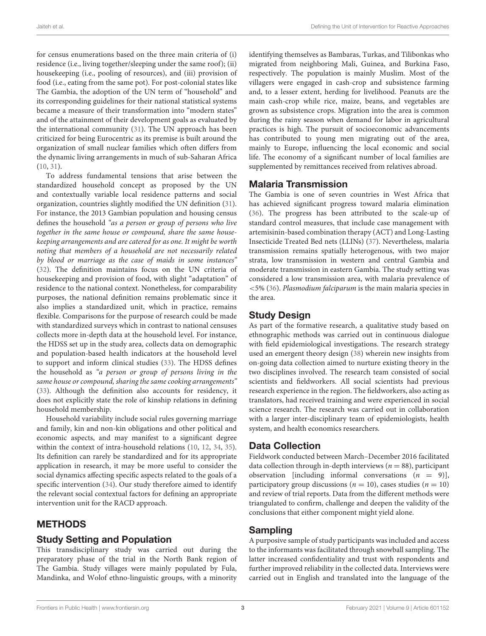for census enumerations based on the three main criteria of (i) residence (i.e., living together/sleeping under the same roof); (ii) housekeeping (i.e., pooling of resources), and (iii) provision of food (i.e., eating from the same pot). For post-colonial states like The Gambia, the adoption of the UN term of "household" and its corresponding guidelines for their national statistical systems became a measure of their transformation into "modern states" and of the attainment of their development goals as evaluated by the international community [\(31\)](#page-7-10). The UN approach has been criticized for being Eurocentric as its premise is built around the organization of small nuclear families which often differs from the dynamic living arrangements in much of sub-Saharan Africa [\(10,](#page-6-8) [31\)](#page-7-10).

To address fundamental tensions that arise between the standardized household concept as proposed by the UN and contextually variable local residence patterns and social organization, countries slightly modified the UN definition [\(31\)](#page-7-10). For instance, the 2013 Gambian population and housing census defines the household "as a person or group of persons who live together in the same house or compound, share the same housekeeping arrangements and are catered for as one. It might be worth noting that members of a household are not necessarily related by blood or marriage as the case of maids in some instances" [\(32\)](#page-7-11). The definition maintains focus on the UN criteria of housekeeping and provision of food, with slight "adaptation" of residence to the national context. Nonetheless, for comparability purposes, the national definition remains problematic since it also implies a standardized unit, which in practice, remains flexible. Comparisons for the purpose of research could be made with standardized surveys which in contrast to national censuses collects more in-depth data at the household level. For instance, the HDSS set up in the study area, collects data on demographic and population-based health indicators at the household level to support and inform clinical studies [\(33\)](#page-7-12). The HDSS defines the household as "a person or group of persons living in the same house or compound, sharing the same cooking arrangements" [\(33\)](#page-7-12). Although the definition also accounts for residency, it does not explicitly state the role of kinship relations in defining household membership.

Household variability include social rules governing marriage and family, kin and non-kin obligations and other political and economic aspects, and may manifest to a significant degree within the context of intra-household relations [\(10,](#page-6-8) [12,](#page-6-10) [34,](#page-7-13) [35\)](#page-7-14). Its definition can rarely be standardized and for its appropriate application in research, it may be more useful to consider the social dynamics affecting specific aspects related to the goals of a specific intervention [\(34\)](#page-7-13). Our study therefore aimed to identify the relevant social contextual factors for defining an appropriate intervention unit for the RACD approach.

## METHODS

## Study Setting and Population

This transdisciplinary study was carried out during the preparatory phase of the trial in the North Bank region of The Gambia. Study villages were mainly populated by Fula, Mandinka, and Wolof ethno-linguistic groups, with a minority identifying themselves as Bambaras, Turkas, and Tilibonkas who migrated from neighboring Mali, Guinea, and Burkina Faso, respectively. The population is mainly Muslim. Most of the villagers were engaged in cash-crop and subsistence farming and, to a lesser extent, herding for livelihood. Peanuts are the main cash-crop while rice, maize, beans, and vegetables are grown as subsistence crops. Migration into the area is common during the rainy season when demand for labor in agricultural practices is high. The pursuit of socioeconomic advancements has contributed to young men migrating out of the area, mainly to Europe, influencing the local economic and social life. The economy of a significant number of local families are supplemented by remittances received from relatives abroad.

## Malaria Transmission

The Gambia is one of seven countries in West Africa that has achieved significant progress toward malaria elimination [\(36\)](#page-7-15). The progress has been attributed to the scale-up of standard control measures, that include case management with artemisinin-based combination therapy (ACT) and Long-Lasting Insecticide Treated Bed nets (LLINs) [\(37\)](#page-7-16). Nevertheless, malaria transmission remains spatially heterogenous, with two major strata, low transmission in western and central Gambia and moderate transmission in eastern Gambia. The study setting was considered a low transmission area, with malaria prevalence of <5% [\(36\)](#page-7-15). Plasmodium falciparum is the main malaria species in the area.

## Study Design

As part of the formative research, a qualitative study based on ethnographic methods was carried out in continuous dialogue with field epidemiological investigations. The research strategy used an emergent theory design [\(38\)](#page-7-17) wherein new insights from on-going data collection aimed to nurture existing theory in the two disciplines involved. The research team consisted of social scientists and fieldworkers. All social scientists had previous research experience in the region. The fieldworkers, also acting as translators, had received training and were experienced in social science research. The research was carried out in collaboration with a larger inter-disciplinary team of epidemiologists, health system, and health economics researchers.

## Data Collection

Fieldwork conducted between March–December 2016 facilitated data collection through in-depth interviews ( $n = 88$ ), participant observation [including informal conversations  $(n = 9)$ ], participatory group discussions ( $n = 10$ ), cases studies ( $n = 10$ ) and review of trial reports. Data from the different methods were triangulated to confirm, challenge and deepen the validity of the conclusions that either component might yield alone.

## Sampling

A purposive sample of study participants was included and access to the informants was facilitated through snowball sampling. The latter increased confidentiality and trust with respondents and further improved reliability in the collected data. Interviews were carried out in English and translated into the language of the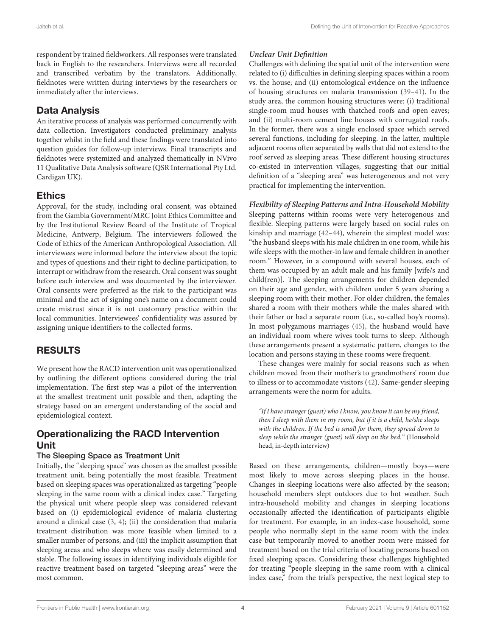respondent by trained fieldworkers. All responses were translated back in English to the researchers. Interviews were all recorded and transcribed verbatim by the translators. Additionally, fieldnotes were written during interviews by the researchers or immediately after the interviews.

## Data Analysis

An iterative process of analysis was performed concurrently with data collection. Investigators conducted preliminary analysis together whilst in the field and these findings were translated into question guides for follow-up interviews. Final transcripts and fieldnotes were systemized and analyzed thematically in NVivo 11 Qualitative Data Analysis software (QSR International Pty Ltd. Cardigan UK).

## Ethics

Approval, for the study, including oral consent, was obtained from the Gambia Government/MRC Joint Ethics Committee and by the Institutional Review Board of the Institute of Tropical Medicine, Antwerp, Belgium. The interviewers followed the Code of Ethics of the American Anthropological Association. All interviewees were informed before the interview about the topic and types of questions and their right to decline participation, to interrupt or withdraw from the research. Oral consent was sought before each interview and was documented by the interviewer. Oral consents were preferred as the risk to the participant was minimal and the act of signing one's name on a document could create mistrust since it is not customary practice within the local communities. Interviewees' confidentiality was assured by assigning unique identifiers to the collected forms.

## RESULTS

We present how the RACD intervention unit was operationalized by outlining the different options considered during the trial implementation. The first step was a pilot of the intervention at the smallest treatment unit possible and then, adapting the strategy based on an emergent understanding of the social and epidemiological context.

## Operationalizing the RACD Intervention Unit

#### The Sleeping Space as Treatment Unit

Initially, the "sleeping space" was chosen as the smallest possible treatment unit, being potentially the most feasible. Treatment based on sleeping spaces was operationalized as targeting "people sleeping in the same room with a clinical index case." Targeting the physical unit where people sleep was considered relevant based on (i) epidemiological evidence of malaria clustering around a clinical case [\(3,](#page-6-2) [4\)](#page-6-3); (ii) the consideration that malaria treatment distribution was more feasible when limited to a smaller number of persons, and (iii) the implicit assumption that sleeping areas and who sleeps where was easily determined and stable. The following issues in identifying individuals eligible for reactive treatment based on targeted "sleeping areas" were the most common.

## **Unclear Unit Definition**

Challenges with defining the spatial unit of the intervention were related to (i) difficulties in defining sleeping spaces within a room vs. the house; and (ii) entomological evidence on the influence of housing structures on malaria transmission [\(39](#page-7-18)[–41\)](#page-7-19). In the study area, the common housing structures were: (i) traditional single-room mud houses with thatched roofs and open eaves; and (ii) multi-room cement line houses with corrugated roofs. In the former, there was a single enclosed space which served several functions, including for sleeping. In the latter, multiple adjacent rooms often separated by walls that did not extend to the roof served as sleeping areas. These different housing structures co-existed in intervention villages, suggesting that our initial definition of a "sleeping area" was heterogeneous and not very practical for implementing the intervention.

#### **Flexibility of Sleeping Patterns and Intra-Household Mobility**

Sleeping patterns within rooms were very heterogenous and flexible. Sleeping patterns were largely based on social rules on kinship and marriage [\(42](#page-7-20)[–44\)](#page-7-21), wherein the simplest model was: "the husband sleeps with his male children in one room, while his wife sleeps with the mother-in law and female children in another room." However, in a compound with several houses, each of them was occupied by an adult male and his family [wife/s and child(ren)]. The sleeping arrangements for children depended on their age and gender, with children under 5 years sharing a sleeping room with their mother. For older children, the females shared a room with their mothers while the males shared with their father or had a separate room (i.e., so-called boy's rooms). In most polygamous marriages [\(45\)](#page-7-22), the husband would have an individual room where wives took turns to sleep. Although these arrangements present a systematic pattern, changes to the location and persons staying in these rooms were frequent.

These changes were mainly for social reasons such as when children moved from their mother's to grandmothers' room due to illness or to accommodate visitors [\(42\)](#page-7-20). Same-gender sleeping arrangements were the norm for adults.

"If I have stranger (guest) who I know, you know it can be my friend, then I sleep with them in my room, but if it is a child, he/she sleeps with the children. If the bed is small for them, they spread down to sleep while the stranger (guest) will sleep on the bed." (Household head, in-depth interview)

Based on these arrangements, children—mostly boys—were most likely to move across sleeping places in the house. Changes in sleeping locations were also affected by the season; household members slept outdoors due to hot weather. Such intra-household mobility and changes in sleeping locations occasionally affected the identification of participants eligible for treatment. For example, in an index-case household, some people who normally slept in the same room with the index case but temporarily moved to another room were missed for treatment based on the trial criteria of locating persons based on fixed sleeping spaces. Considering these challenges highlighted for treating "people sleeping in the same room with a clinical index case," from the trial's perspective, the next logical step to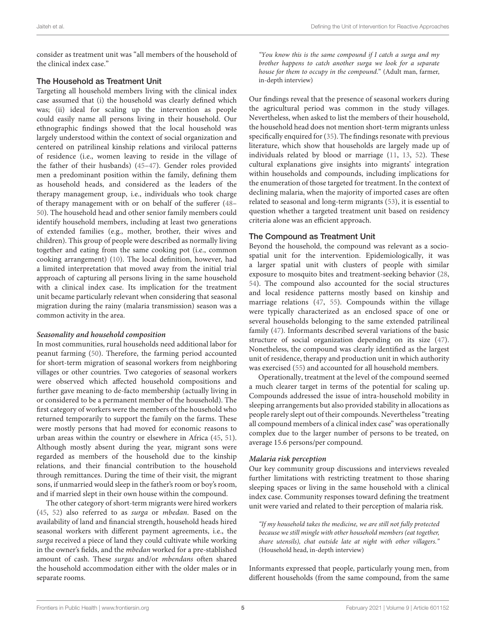consider as treatment unit was "all members of the household of the clinical index case."

#### The Household as Treatment Unit

Targeting all household members living with the clinical index case assumed that (i) the household was clearly defined which was; (ii) ideal for scaling up the intervention as people could easily name all persons living in their household. Our ethnographic findings showed that the local household was largely understood within the context of social organization and centered on patrilineal kinship relations and virilocal patterns of residence (i.e., women leaving to reside in the village of the father of their husbands) [\(45](#page-7-22)[–47\)](#page-7-23). Gender roles provided men a predominant position within the family, defining them as household heads, and considered as the leaders of the therapy management group, i.e., individuals who took charge of therapy management with or on behalf of the sufferer [\(48–](#page-7-24) [50\)](#page-7-25). The household head and other senior family members could identify household members, including at least two generations of extended families (e.g., mother, brother, their wives and children). This group of people were described as normally living together and eating from the same cooking pot (i.e., common cooking arrangement) [\(10\)](#page-6-8). The local definition, however, had a limited interpretation that moved away from the initial trial approach of capturing all persons living in the same household with a clinical index case. Its implication for the treatment unit became particularly relevant when considering that seasonal migration during the rainy (malaria transmission) season was a common activity in the area.

#### **Seasonality and household composition**

In most communities, rural households need additional labor for peanut farming [\(50\)](#page-7-25). Therefore, the farming period accounted for short-term migration of seasonal workers from neighboring villages or other countries. Two categories of seasonal workers were observed which affected household compositions and further gave meaning to de-facto membership (actually living in or considered to be a permanent member of the household). The first category of workers were the members of the household who returned temporarily to support the family on the farms. These were mostly persons that had moved for economic reasons to urban areas within the country or elsewhere in Africa [\(45,](#page-7-22) [51\)](#page-7-26). Although mostly absent during the year, migrant sons were regarded as members of the household due to the kinship relations, and their financial contribution to the household through remittances. During the time of their visit, the migrant sons, if unmarried would sleep in the father's room or boy's room, and if married slept in their own house within the compound.

The other category of short-term migrants were hired workers [\(45,](#page-7-22) [52\)](#page-7-27) also referred to as surga or mbedan. Based on the availability of land and financial strength, household heads hired seasonal workers with different payment agreements, i.e., the surga received a piece of land they could cultivate while working in the owner's fields, and the mbedan worked for a pre-stablished amount of cash. These surgas and/or mbendans often shared the household accommodation either with the older males or in separate rooms.

"You know this is the same compound if I catch a surga and my brother happens to catch another surga we look for a separate house for them to occupy in the compound." (Adult man, farmer, in-depth interview)

Our findings reveal that the presence of seasonal workers during the agricultural period was common in the study villages. Nevertheless, when asked to list the members of their household, the household head does not mention short-term migrants unless specifically enquired for [\(35\)](#page-7-14). The findings resonate with previous literature, which show that households are largely made up of individuals related by blood or marriage [\(11,](#page-6-9) [13,](#page-6-11) [52\)](#page-7-27). These cultural explanations give insights into migrants' integration within households and compounds, including implications for the enumeration of those targeted for treatment. In the context of declining malaria, when the majority of imported cases are often related to seasonal and long-term migrants [\(53\)](#page-7-28), it is essential to question whether a targeted treatment unit based on residency criteria alone was an efficient approach.

## The Compound as Treatment Unit

Beyond the household, the compound was relevant as a sociospatial unit for the intervention. Epidemiologically, it was a larger spatial unit with clusters of people with similar exposure to mosquito bites and treatment-seeking behavior [\(28,](#page-7-7) [54\)](#page-7-29). The compound also accounted for the social structures and local residence patterns mostly based on kinship and marriage relations [\(47,](#page-7-23) [55\)](#page-8-0). Compounds within the village were typically characterized as an enclosed space of one or several households belonging to the same extended patrilineal family [\(47\)](#page-7-23). Informants described several variations of the basic structure of social organization depending on its size [\(47\)](#page-7-23). Nonetheless, the compound was clearly identified as the largest unit of residence, therapy and production unit in which authority was exercised [\(55\)](#page-8-0) and accounted for all household members.

Operationally, treatment at the level of the compound seemed a much clearer target in terms of the potential for scaling up. Compounds addressed the issue of intra-household mobility in sleeping arrangements but also provided stability in allocations as people rarely slept out of their compounds. Nevertheless "treating all compound members of a clinical index case" was operationally complex due to the larger number of persons to be treated, on average 15.6 persons/per compound.

## **Malaria risk perception**

Our key community group discussions and interviews revealed further limitations with restricting treatment to those sharing sleeping spaces or living in the same household with a clinical index case. Community responses toward defining the treatment unit were varied and related to their perception of malaria risk.

"If my household takes the medicine, we are still not fully protected because we still mingle with other household members (eat together, share utensils), chat outside late at night with other villagers." (Household head, in-depth interview)

Informants expressed that people, particularly young men, from different households (from the same compound, from the same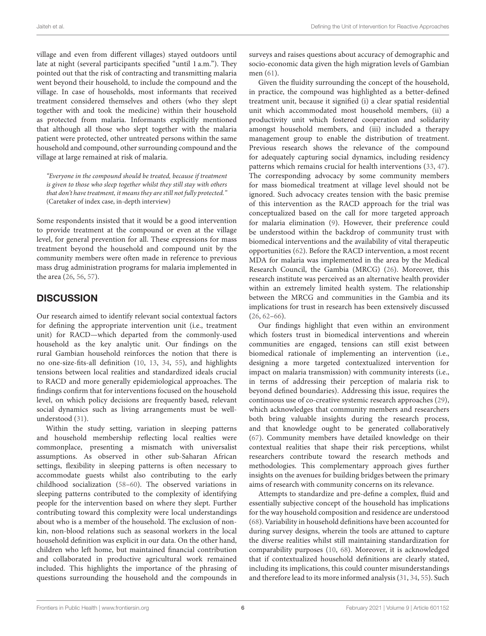village and even from different villages) stayed outdoors until late at night (several participants specified "until 1 a.m."). They pointed out that the risk of contracting and transmitting malaria went beyond their household, to include the compound and the village. In case of households, most informants that received treatment considered themselves and others (who they slept together with and took the medicine) within their household as protected from malaria. Informants explicitly mentioned that although all those who slept together with the malaria patient were protected, other untreated persons within the same household and compound, other surrounding compound and the village at large remained at risk of malaria.

"Everyone in the compound should be treated, because if treatment is given to those who sleep together whilst they still stay with others that don't have treatment, it means they are still not fully protected." (Caretaker of index case, in-depth interview)

Some respondents insisted that it would be a good intervention to provide treatment at the compound or even at the village level, for general prevention for all. These expressions for mass treatment beyond the household and compound unit by the community members were often made in reference to previous mass drug administration programs for malaria implemented in the area [\(26,](#page-7-30) [56,](#page-8-1) [57\)](#page-8-2).

# **DISCUSSION**

Our research aimed to identify relevant social contextual factors for defining the appropriate intervention unit (i.e., treatment unit) for RACD—which departed from the commonly-used household as the key analytic unit. Our findings on the rural Gambian household reinforces the notion that there is no one-size-fits-all definition [\(10,](#page-6-8) [13,](#page-6-11) [34,](#page-7-13) [55\)](#page-8-0), and highlights tensions between local realities and standardized ideals crucial to RACD and more generally epidemiological approaches. The findings confirm that for interventions focused on the household level, on which policy decisions are frequently based, relevant social dynamics such as living arrangements must be wellunderstood [\(31\)](#page-7-10).

Within the study setting, variation in sleeping patterns and household membership reflecting local realties were commonplace, presenting a mismatch with universalist assumptions. As observed in other sub-Saharan African settings, flexibility in sleeping patterns is often necessary to accommodate guests whilst also contributing to the early childhood socialization [\(58](#page-8-3)[–60\)](#page-8-4). The observed variations in sleeping patterns contributed to the complexity of identifying people for the intervention based on where they slept. Further contributing toward this complexity were local understandings about who is a member of the household. The exclusion of nonkin, non-blood relations such as seasonal workers in the local household definition was explicit in our data. On the other hand, children who left home, but maintained financial contribution and collaborated in productive agricultural work remained included. This highlights the importance of the phrasing of questions surrounding the household and the compounds in surveys and raises questions about accuracy of demographic and socio-economic data given the high migration levels of Gambian men [\(61\)](#page-8-5).

Given the fluidity surrounding the concept of the household, in practice, the compound was highlighted as a better-defined treatment unit, because it signified (i) a clear spatial residential unit which accommodated most household members, (ii) a productivity unit which fostered cooperation and solidarity amongst household members, and (iii) included a therapy management group to enable the distribution of treatment. Previous research shows the relevance of the compound for adequately capturing social dynamics, including residency patterns which remains crucial for health interventions [\(33,](#page-7-12) [47\)](#page-7-23). The corresponding advocacy by some community members for mass biomedical treatment at village level should not be ignored. Such advocacy creates tension with the basic premise of this intervention as the RACD approach for the trial was conceptualized based on the call for more targeted approach for malaria elimination [\(9\)](#page-6-5). However, their preference could be understood within the backdrop of community trust with biomedical interventions and the availability of vital therapeutic opportunities [\(62\)](#page-8-6). Before the RACD intervention, a most recent MDA for malaria was implemented in the area by the Medical Research Council, the Gambia (MRCG) [\(26\)](#page-7-30). Moreover, this research institute was perceived as an alternative health provider within an extremely limited health system. The relationship between the MRCG and communities in the Gambia and its implications for trust in research has been extensively discussed [\(26,](#page-7-30) [62–](#page-8-6)[66\)](#page-8-7).

Our findings highlight that even within an environment which fosters trust in biomedical interventions and wherein communities are engaged, tensions can still exist between biomedical rationale of implementing an intervention (i.e., designing a more targeted contextualized intervention for impact on malaria transmission) with community interests (i.e., in terms of addressing their perception of malaria risk to beyond defined boundaries). Addressing this issue, requires the continuous use of co-creative systemic research approaches [\(29\)](#page-7-8), which acknowledges that community members and researchers both bring valuable insights during the research process, and that knowledge ought to be generated collaboratively [\(67\)](#page-8-8). Community members have detailed knowledge on their contextual realities that shape their risk perceptions, whilst researchers contribute toward the research methods and methodologies. This complementary approach gives further insights on the avenues for building bridges between the primary aims of research with community concerns on its relevance.

Attempts to standardize and pre-define a complex, fluid and essentially subjective concept of the household has implications for the way household composition and residence are understood [\(68\)](#page-8-9). Variability in household definitions have been accounted for during survey designs, wherein the tools are attuned to capture the diverse realities whilst still maintaining standardization for comparability purposes [\(10,](#page-6-8) [68\)](#page-8-9). Moreover, it is acknowledged that if contextualized household definitions are clearly stated, including its implications, this could counter misunderstandings and therefore lead to its more informed analysis [\(31,](#page-7-10) [34,](#page-7-13) [55\)](#page-8-0). Such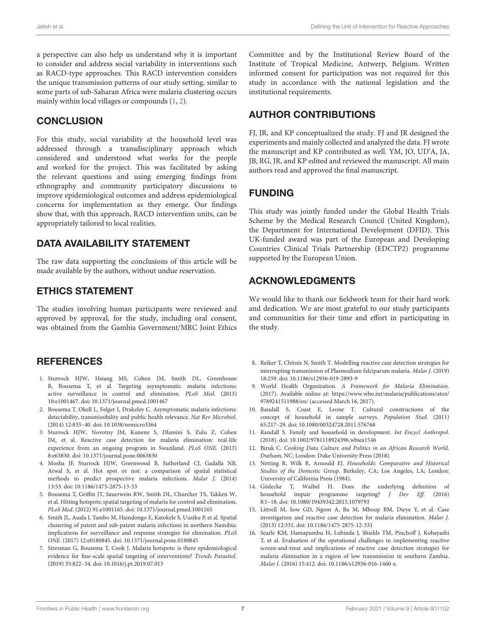a perspective can also help us understand why it is important to consider and address social variability in interventions such as RACD-type approaches. This RACD intervention considers the unique transmission patterns of our study setting, similar to some parts of sub-Saharan Africa were malaria clustering occurs mainly within local villages or compounds [\(1,](#page-6-0) [2\)](#page-6-1).

## **CONCLUSION**

For this study, social variability at the household level was addressed through a transdisciplinary approach which considered and understood what works for the people and worked for the project. This was facilitated by asking the relevant questions and using emerging findings from ethnography and community participatory discussions to improve epidemiological outcomes and address epidemiological concerns for implementation as they emerge. Our findings show that, with this approach, RACD intervention units, can be appropriately tailored to local realities.

## DATA AVAILABILITY STATEMENT

The raw data supporting the conclusions of this article will be made available by the authors, without undue reservation.

## ETHICS STATEMENT

The studies involving human participants were reviewed and approved by approval, for the study, including oral consent, was obtained from the Gambia Government/MRC Joint Ethics

## **REFERENCES**

- <span id="page-6-0"></span>1. Sturrock HJW, Hsiang MS, Cohen JM, Smith DL, Greenhouse B, Bousema T, et al. Targeting asymptomatic malaria infections: active surveillance in control and elimination. PLoS Med. (2013) 10:e1001467. doi: [10.1371/journal.pmed.1001467](https://doi.org/10.1371/journal.pmed.1001467)
- <span id="page-6-1"></span>2. Bousema T, Okell L, Felger I, Drakeley C. Asymptomatic malaria infections: detectability, transmissibility and public health relevance. Nat Rev Microbiol. (2014) 12:833–40. doi: [10.1038/nrmicro3364](https://doi.org/10.1038/nrmicro3364)
- <span id="page-6-2"></span>3. Sturrock HJW, Novotny JM, Kunene S, Dlamini S, Zulu Z, Cohen JM, et al. Reactive case detection for malaria elimination: real-life experience from an ongoing program in Swaziland. PLoS ONE. (2013) 8:e63830. doi: [10.1371/journal.pone.0063830](https://doi.org/10.1371/journal.pone.0063830)
- <span id="page-6-3"></span>4. Mosha JF, Sturrock HJW, Greenwood B, Sutherland CJ, Gadalla NB, Atwal S, et al. Hot spot or not: a comparison of spatial statistical methods to predict prospective malaria infections. Malar J. (2014) 13:53. doi: [10.1186/1475-2875-13-53](https://doi.org/10.1186/1475-2875-13-53)
- <span id="page-6-4"></span>5. Bousema T, Griffin JT, Sauerwein RW, Smith DL, Churcher TS, Takken W, et al. Hitting hotspots: spatial targeting of malaria for control and elimination. PLoS Med. (2012) 91:e1001165. doi: [10.1371/journal.pmed.1001165](https://doi.org/10.1371/journal.pmed.1001165)
- 6. Smith JL, Auala J, Tambo M, Haindongo E, Katokele S, Uusiku P, et al. Spatial clustering of patent and sub-patent malaria infections in northern Namibia: implications for surveillance and response strategies for elimination. PLoS ONE. (2017) 12:e0180845. doi: [10.1371/journal.pone.0180845](https://doi.org/10.1371/journal.pone.0180845)
- <span id="page-6-7"></span>7. Stresman G, Bousema T, Cook J. Malaria hotspots: is there epidemiological evidence for fine-scale spatial targeting of interventions? Trends Parasitol. (2019) 35:822–34. doi: [10.1016/j.pt.2019.07.013](https://doi.org/10.1016/j.pt.2019.07.013)

Committee and by the Institutional Review Board of the Institute of Tropical Medicine, Antwerp, Belgium. Written informed consent for participation was not required for this study in accordance with the national legislation and the institutional requirements.

## AUTHOR CONTRIBUTIONS

FJ, JR, and KP conceptualized the study. FJ and JR designed the experiments and mainly collected and analyzed the data. FJ wrote the manuscript and KP contributed as well. YM, JO, UD'A, JA, JB, RG, JR, and KP edited and reviewed the manuscript. All main authors read and approved the final manuscript.

## FUNDING

This study was jointly funded under the Global Health Trials Scheme by the Medical Research Council (United Kingdom), the Department for International Development (DFID). This UK-funded award was part of the European and Developing Countries Clinical Trials Partnership (EDCTP2) programme supported by the European Union.

## ACKNOWLEDGMENTS

We would like to thank our fieldwork team for their hard work and dedication. We are most grateful to our study participants and communities for their time and effort in participating in the study.

- <span id="page-6-6"></span>8. Reiker T, Chitnis N, Smith T. Modelling reactive case detection strategies for interrupting transmission of Plasmodium falciparum malaria. Malar J. (2019) 18:259. doi: [10.1186/s12936-019-2893-9](https://doi.org/10.1186/s12936-019-2893-9)
- <span id="page-6-5"></span>9. World Health Organization. A Framework for Malaria Elimination. (2017). Available online at: [https://www.who.int/malaria/publications/atoz/](https://www.who.int/malaria/publications/atoz/9789241511988/en/) [9789241511988/en/](https://www.who.int/malaria/publications/atoz/9789241511988/en/) (accessed March 16, 2017).
- <span id="page-6-8"></span>10. Randall S, Coast E, Leone T. Cultural constructions of the concept of household in sample surveys. Population Stud. (2011) 65:217–29. doi: [10.1080/00324728.2011.576768](https://doi.org/10.1080/00324728.2011.576768)
- <span id="page-6-9"></span>11. Randall S. Family and household in development. Int Encycl Anthropol. (2018). doi: [10.1002/9781118924396.wbiea1546](https://doi.org/10.1002/9781118924396.wbiea1546)
- <span id="page-6-10"></span>12. Biruk C. Cooking Data Culture and Politics in an African Research World. Durham, NC; London: Duke University Press (2018).
- <span id="page-6-11"></span>13. Netting R, Wilk R, Arnould EJ. Households: Comparative and Historical Studies of the Domestic Group. Berkeley, CA; Los Angeles, LA; London: University of California Press (1984).
- <span id="page-6-12"></span>14. Gödecke T, Waibel H. Does the underlying definition of household impair programme targeting? J Dev Eff. (2016) 8:1–18. doi: [10.1080/19439342.2015.1079793](https://doi.org/10.1080/19439342.2015.1079793)
- <span id="page-6-13"></span>15. Littrell M, Sow GD, Ngom A, Ba M, Mboup BM, Dieye Y, et al. Case investigation and reactive case detection for malaria elimination. Malar J. (2013) 12:331. doi: [10.1186/1475-2875-12-331](https://doi.org/10.1186/1475-2875-12-331)
- 16. Searle KM, Hamapumbu H, Lubinda J, Shields TM, Pinchoff J, Kobayashi T, et al. Evaluation of the operational challenges in implementing reactive screen-and-treat and implications of reactive case detection strategies for malaria elimination in a region of low transmission in southern Zambia. Malar J. (2016) 15:412. doi: [10.1186/s12936-016-1460-x](https://doi.org/10.1186/s12936-016-1460-x)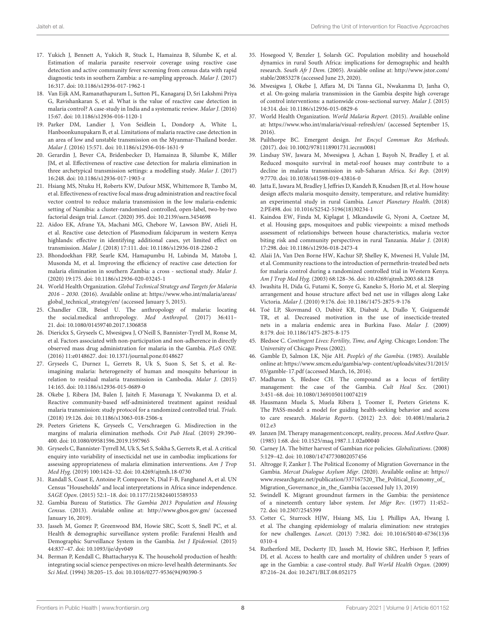- 17. Yukich J, Bennett A, Yukich R, Stuck L, Hamainza B, Silumbe K, et al. Estimation of malaria parasite reservoir coverage using reactive case detection and active community fever screening from census data with rapid diagnostic tests in southern Zambia: a re-sampling approach. Malar J. (2017) 16:317. doi: [10.1186/s12936-017-1962-1](https://doi.org/10.1186/s12936-017-1962-1)
- <span id="page-7-0"></span>18. Van Eijk AM, Ramanathapuram L, Sutton PL, Kanagaraj D, Sri Lakshmi Priya G, Ravishankaran S, et al. What is the value of reactive case detection in malaria control? A case-study in India and a systematic review. Malar J. (2016) 15:67. doi: [10.1186/s12936-016-1120-1](https://doi.org/10.1186/s12936-016-1120-1)
- <span id="page-7-1"></span>19. Parker DM, Landier J, Von Seidlein L, Dondorp A, White L, Hanboonkunupakarn B, et al. Limitations of malaria reactive case detection in an area of low and unstable transmission on the Myanmar-Thailand border. Malar J. (2016) 15:571. doi: [10.1186/s12936-016-1631-9](https://doi.org/10.1186/s12936-016-1631-9)
- <span id="page-7-2"></span>20. Gerardin J, Bever CA, Bridenbecker D, Hamainza B, Silumbe K, Miller JM, et al. Effectiveness of reactive case detection for malaria elimination in three archetypical transmission settings: a modelling study. Malar J. (2017) 16:248. doi: [10.1186/s12936-017-1903-z](https://doi.org/10.1186/s12936-017-1903-z)
- 21. Hsiang MS, Ntuku H, Roberts KW, Dufour MSK, Whittemore B, Tambo M, et al. Effectiveness of reactive focal mass drug administration and reactive focal vector control to reduce malaria transmission in the low malaria-endemic setting of Namibia: a cluster-randomised controlled, open-label, two-by-two factorial design trial. Lancet. (2020) 395. doi: [10.2139/ssrn.3454698](https://doi.org/10.2139/ssrn.3454698)
- 22. Aidoo EK, Afrane YA, Machani MG, Chebore W, Lawson BW, Atieli H, et al. Reactive case detection of Plasmodium falciparum in western Kenya highlands: effective in identifying additional cases, yet limited effect on transmission. Malar J. (2018) 17:111. doi: [10.1186/s12936-018-2260-2](https://doi.org/10.1186/s12936-018-2260-2)
- <span id="page-7-3"></span>23. Bhondoekhan FRP, Searle KM, Hamapumbu H, Lubinda M, Matoba J, Musonda M, et al. Improving the efficiency of reactive case detection for malaria elimination in southern Zambia: a cross - sectional study. Malar J. (2020) 19:175. doi: [10.1186/s12936-020-03245-1](https://doi.org/10.1186/s12936-020-03245-1)
- <span id="page-7-4"></span>24. World Health Organization. Global Technical Strategy and Targets for Malaria 2016 – 2030. (2016). Available online at: [https://www.who.int/malaria/areas/](https://www.who.int/malaria/areas/global_technical_strategy/en/) [global\\_technical\\_strategy/en/](https://www.who.int/malaria/areas/global_technical_strategy/en/) (accessed January 5, 2015).
- <span id="page-7-5"></span>25. Chandler CIR, Beisel U. The anthropology of malaria: locating the social.medical anthropology. Med Anthropol. (2017) 36:411– 21. doi: [10.1080/01459740.2017.1306858](https://doi.org/10.1080/01459740.2017.1306858)
- <span id="page-7-30"></span>26. Dierickx S, Gryseels C, Mwesigwa J, O'Neill S, Bannister-Tyrell M, Ronse M, et al. Factors associated with non-participation and non-adherence in directly observed mass drug administration for malaria in the Gambia. PLoS ONE. (2016) 11:e0148627. doi: [10.1371/journal.pone.0148627](https://doi.org/10.1371/journal.pone.0148627)
- <span id="page-7-6"></span>27. Gryseels C, Durnez L, Gerrets R, Uk S, Suon S, Set S, et al. Reimagining malaria: heterogeneity of human and mosquito behaviour in relation to residual malaria transmission in Cambodia. Malar J. (2015) 14:165. doi: [10.1186/s12936-015-0689-0](https://doi.org/10.1186/s12936-015-0689-0)
- <span id="page-7-7"></span>28. Okebe J, Ribera JM, Balen J, Jaiteh F, Masunaga Y, Nwakanma D, et al. Reactive community-based self-administered treatment against residual malaria transmission: study protocol for a randomized controlled trial. Trials. (2018) 19:126. doi: [10.1186/s13063-018-2506-x](https://doi.org/10.1186/s13063-018-2506-x)
- <span id="page-7-8"></span>29. Peeters Grietens K, Gryseels C, Verschraegen G. Misdirection in the margins of malaria elimination methods. Crit Pub Heal. (2019) 29:390– 400. doi: [10.1080/09581596.2019.1597965](https://doi.org/10.1080/09581596.2019.1597965)
- <span id="page-7-9"></span>30. Gryseels C, Bannister-Tyrrell M, Uk S, Set S, Sokha S, Gerrets R, et al. A critical enquiry into variability of insecticidal net use in cambodia: implications for assessing appropriateness of malaria elimination interventions. Am J Trop Med Hyg. (2019) 100:1424–32. doi: [10.4269/ajtmh.18-0730](https://doi.org/10.4269/ajtmh.18-0730)
- <span id="page-7-10"></span>31. Randall S, Coast E, Antoine P, Compaore N, Dial F-B, Fanghanel A, et al. UN Census "Households" and local interpretations in Africa since independence. SAGE Open. (2015) 52:1–18. doi: [10.1177/2158244015589353](https://doi.org/10.1177/2158244015589353)
- <span id="page-7-11"></span>32. Gambia Bureau of Statistics. The Gambia 2013 Population and Housing Census. (2013). Avialable online at:<http://www.gbos.gov.gm/> (accessed January 16, 2019).
- <span id="page-7-12"></span>33. Jasseh M, Gomez P, Greenwood BM, Howie SRC, Scott S, Snell PC, et al. Health & demographic surveillance system profile: Farafenni Health and Demographic Surveillance System in the Gambia. Int J Epidemiol. (2015) 44:837–47. doi: [10.1093/ije/dyv049](https://doi.org/10.1093/ije/dyv049)
- <span id="page-7-13"></span>34. Berman P, Kendall C, Bhattacharyya K. The household production of health: integrating social science perspectives on micro-level health determinants. Soc Sci Med. (1994) 38:205–15. doi: [10.1016/0277-9536\(94\)90390-5](https://doi.org/10.1016/0277-9536(94)90390-5)
- <span id="page-7-14"></span>35. Hosegood V, Benzler J, Solarsh GC. Population mobility and household dynamics in rural South Africa: implications for demographic and health research. South Afr J Dem. (2005). Avaiable online at: [http://www.jstor.com/](http://www.jstor.com/stable/20853278) [stable/20853278](http://www.jstor.com/stable/20853278) (accessed June 23, 2020).
- <span id="page-7-15"></span>36. Mwesigwa J, Okebe J, Affara M, Di Tanna GL, Nwakanma D, Janha O, et al. On-going malaria transmission in the Gambia despite high coverage of control interventions: a nationwide cross-sectional survey. Malar J. (2015) 14:314. doi: [10.1186/s12936-015-0829-6](https://doi.org/10.1186/s12936-015-0829-6)
- <span id="page-7-16"></span>37. World Health Organization. World Malaria Report. (2015). Available online at:<https://www.who.int/malaria/visual-refresh/en/> (accessed September 15, 2016).
- <span id="page-7-17"></span>38. Pailthorpe BC. Emergent design. Int Encycl Commun Res Methods. (2017). doi: [10.1002/9781118901731.iecrm0081](https://doi.org/10.1002/9781118901731.iecrm0081)
- <span id="page-7-18"></span>39. Lindsay SW, Jawara M, Mwesigwa J, Achan J, Bayoh N, Bradley J, et al. Reduced mosquito survival in metal-roof houses may contribute to a decline in malaria transmission in sub-Saharan Africa. Sci Rep. (2019) 9:7770. doi: [10.1038/s41598-019-43816-0](https://doi.org/10.1038/s41598-019-43816-0)
- 40. Jatta E, Jawara M, Bradley J, Jeffries D, Kandeh B, Knudsen JB, et al. How house design affects malaria mosquito density, temperature, and relative humidity: an experimental study in rural Gambia. Lancet Planetary Health. (2018) 2:PE498. doi: [10.1016/S2542-5196\(18\)30234-1](https://doi.org/10.1016/S2542-5196(18)30234-1)
- <span id="page-7-19"></span>41. Kaindoa EW, Finda M, Kiplagat J, Mkandawile G, Nyoni A, Coetzee M, et al. Housing gaps, mosquitoes and public viewpoints: a mixed methods assessment of relationships between house characteristics, malaria vector biting risk and community perspectives in rural Tanzania. Malar J. (2018) 17:298. doi: [10.1186/s12936-018-2473-4](https://doi.org/10.1186/s12936-018-2473-4)
- <span id="page-7-20"></span>42. Alaii JA, Van Den Borne HW, Kachur SP, Shelley K, Mwenesi H, Vulule JM, et al. Community reactions to the introduction of permethrin-treated bed nets for malaria control during a randomized controlled trial in Western Kenya. Am J Trop Med Hyg. (2003) 68:128–36. doi: [10.4269/ajtmh.2003.68.128](https://doi.org/10.4269/ajtmh.2003.68.128)
- 43. Iwashita H, Dida G, Futami K, Sonye G, Kaneko S, Horio M, et al. Sleeping arrangement and house structure affect bed net use in villages along Lake Victoria. Malar J. (2010) 9:176. doi: [10.1186/1475-2875-9-176](https://doi.org/10.1186/1475-2875-9-176)
- <span id="page-7-21"></span>44. Toé LP, Skovmand O, Dabiré KR, Diabaté A, Diallo Y, Guiguemdé TR, et al. Decreased motivation in the use of insecticide-treated nets in a malaria endemic area in Burkina Faso. Malar J. (2009) 8:179. doi: [10.1186/1475-2875-8-175](https://doi.org/10.1186/1475-2875-8-175)
- <span id="page-7-22"></span>45. Bledsoe C. Contingent Lives: Fertility, Time, and Aging. Chicago; London: The University of Chicago Press (2002).
- 46. Gamble D, Salmon LK, Njie AH. People's of the Gambia. (1985). Available online at: [https://www.smcm.edu/gambia/wp-content/uploads/sites/31/2015/](https://www.smcm.edu/gambia/wp-content/uploads/sites/31/2015/03/gamble-17.pdf) [03/gamble-17.pdf](https://www.smcm.edu/gambia/wp-content/uploads/sites/31/2015/03/gamble-17.pdf) (accessed March, 16, 2016).
- <span id="page-7-23"></span>47. Madhavan S, Bledsoe CH. The compound as a locus of fertility management: the case of the Gambia. Cult Heal Sex. (2001) 3:451–68. doi: [10.1080/13691050110074219](https://doi.org/10.1080/13691050110074219)
- <span id="page-7-24"></span>48. Hausmann Muela S, Muela Ribera J, Toomer E, Peeters Grietens K. The PASS-model: a model for guiding health-seeking behavior and access to care research. Malaria Reports[. \(2012\) 2:3. doi: 10.4081/malaria.2](https://doi.org/10.4081/malaria.2012.e3) 012.e3
- 49. Janzen JM. Therapy management:concept, reality, process. Med Anthro Quar. (1985) 1:68. doi: [10.1525/maq.1987.1.1.02a00040](https://doi.org/10.1525/maq.1987.1.1.02a00040)
- <span id="page-7-25"></span>50. Carney JA. The bitter harvest of Gambian rice policies. Globalizations. (2008) 5:129–42. doi: [10.1080/14747730802057456](https://doi.org/10.1080/14747730802057456)
- <span id="page-7-26"></span>51. Altrogge F, Zanker J. The Political Economy of Migration Governance in the Gambia. Mercat Dialogue Asylum Migr. (2020). Available online at: [https://](https://www.researchgate.net/publication/337167520_The_Political_Economy_of_Migration_Governance_in_the_Gambia) [www.researchgate.net/publication/337167520\\_The\\_Political\\_Economy\\_of\\_](https://www.researchgate.net/publication/337167520_The_Political_Economy_of_Migration_Governance_in_the_Gambia) [Migration\\_Governance\\_in\\_the\\_Gambia](https://www.researchgate.net/publication/337167520_The_Political_Economy_of_Migration_Governance_in_the_Gambia) (accessed July 13, 2019)
- <span id="page-7-27"></span>52. Swindell K. Migrant groundnut farmers in the Gambia: the persistence of a nineteenth century labor system. Int Migr Rev. (1977) 11:452– 72. doi: [10.2307/2545399](https://doi.org/10.2307/2545399)
- <span id="page-7-28"></span>53. Cotter C, Sturrock HJW, Hsiang MS, Liu J, Phillips AA, Hwang J, et al. The changing epidemiology of malaria elimination: new strategies for new challenges. Lancet[. \(2013\) 7:382. doi: 10.1016/S0140-6736\(13\)6](https://doi.org/10.1016/S0140-6736(13)60310-4) 0310-4
- <span id="page-7-29"></span>54. Rutherford ME, Dockerty JD, Jasseh M, Howie SRC, Herbison P, Jeffries DJ, et al. Access to health care and mortality of children under 5 years of age in the Gambia: a case-control study. Bull World Health Organ. (2009) 87:216–24. doi: [10.2471/BLT.08.052175](https://doi.org/10.2471/BLT.08.052175)